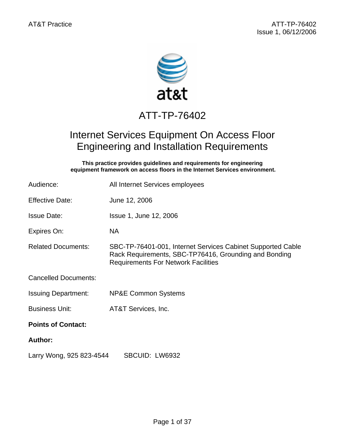

# ATT-TP-76402

## Internet Services Equipment On Access Floor Engineering and Installation Requirements

**This practice provides guidelines and requirements for engineering equipment framework on access floors in the Internet Services environment.** 

| Audience:                   | All Internet Services employees                                                                                                                                    |  |  |  |  |  |  |
|-----------------------------|--------------------------------------------------------------------------------------------------------------------------------------------------------------------|--|--|--|--|--|--|
| <b>Effective Date:</b>      | June 12, 2006                                                                                                                                                      |  |  |  |  |  |  |
| <b>Issue Date:</b>          | Issue 1, June 12, 2006                                                                                                                                             |  |  |  |  |  |  |
| Expires On:                 | <b>NA</b>                                                                                                                                                          |  |  |  |  |  |  |
| <b>Related Documents:</b>   | SBC-TP-76401-001, Internet Services Cabinet Supported Cable<br>Rack Requirements, SBC-TP76416, Grounding and Bonding<br><b>Requirements For Network Facilities</b> |  |  |  |  |  |  |
| <b>Cancelled Documents:</b> |                                                                                                                                                                    |  |  |  |  |  |  |
| <b>Issuing Department:</b>  | <b>NP&amp;E Common Systems</b>                                                                                                                                     |  |  |  |  |  |  |
| <b>Business Unit:</b>       | AT&T Services, Inc.                                                                                                                                                |  |  |  |  |  |  |
| <b>Points of Contact:</b>   |                                                                                                                                                                    |  |  |  |  |  |  |
| <b>Author:</b>              |                                                                                                                                                                    |  |  |  |  |  |  |
| Larry Wong, 925 823-4544    | SBCUID: LW6932                                                                                                                                                     |  |  |  |  |  |  |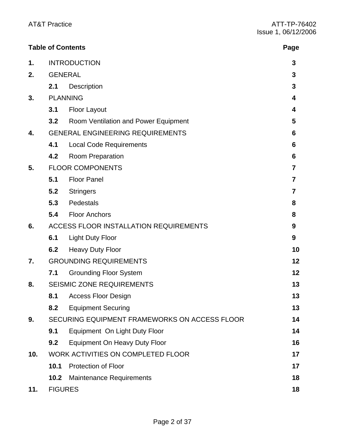|     |                                               | <b>Table of Contents</b>               | Page |  |  |  |  |
|-----|-----------------------------------------------|----------------------------------------|------|--|--|--|--|
| 1.  | <b>INTRODUCTION</b>                           | 3                                      |      |  |  |  |  |
| 2.  |                                               | <b>GENERAL</b>                         |      |  |  |  |  |
|     | 2.1                                           | <b>Description</b>                     | 3    |  |  |  |  |
| 3.  |                                               | <b>PLANNING</b>                        |      |  |  |  |  |
|     | 3.1                                           | <b>Floor Layout</b>                    | 4    |  |  |  |  |
|     | 3.2                                           | Room Ventilation and Power Equipment   | 5    |  |  |  |  |
| 4.  | <b>GENERAL ENGINEERING REQUIREMENTS</b>       | 6                                      |      |  |  |  |  |
|     | 4.1                                           | <b>Local Code Requirements</b>         | 6    |  |  |  |  |
|     | 4.2                                           | <b>Room Preparation</b>                | 6    |  |  |  |  |
| 5.  | <b>FLOOR COMPONENTS</b>                       | 7                                      |      |  |  |  |  |
|     | 5.1                                           | <b>Floor Panel</b>                     | 7    |  |  |  |  |
|     | 5.2                                           | <b>Stringers</b>                       | 7    |  |  |  |  |
|     | 5.3                                           | Pedestals                              | 8    |  |  |  |  |
|     | 5.4                                           | <b>Floor Anchors</b>                   | 8    |  |  |  |  |
| 6.  |                                               | ACCESS FLOOR INSTALLATION REQUIREMENTS |      |  |  |  |  |
|     | 6.1                                           | <b>Light Duty Floor</b>                | 9    |  |  |  |  |
|     | 6.2                                           | <b>Heavy Duty Floor</b>                | 10   |  |  |  |  |
| 7.  | <b>GROUNDING REQUIREMENTS</b>                 | 12                                     |      |  |  |  |  |
|     | 7.1                                           | <b>Grounding Floor System</b>          | 12   |  |  |  |  |
| 8.  | <b>SEISMIC ZONE REQUIREMENTS</b>              |                                        |      |  |  |  |  |
|     | 8.1                                           | <b>Access Floor Design</b>             | 13   |  |  |  |  |
|     | 8.2                                           | <b>Equipment Securing</b>              | 13   |  |  |  |  |
| 9.  | SECURING EQUIPMENT FRAMEWORKS ON ACCESS FLOOR | 14                                     |      |  |  |  |  |
|     | 9.1                                           | Equipment On Light Duty Floor          | 14   |  |  |  |  |
|     | 9.2                                           | <b>Equipment On Heavy Duty Floor</b>   | 16   |  |  |  |  |
| 10. | WORK ACTIVITIES ON COMPLETED FLOOR            | 17                                     |      |  |  |  |  |
|     | 10.1                                          | <b>Protection of Floor</b>             | 17   |  |  |  |  |
|     | 10.2                                          | <b>Maintenance Requirements</b>        | 18   |  |  |  |  |
| 11. | <b>FIGURES</b>                                |                                        | 18   |  |  |  |  |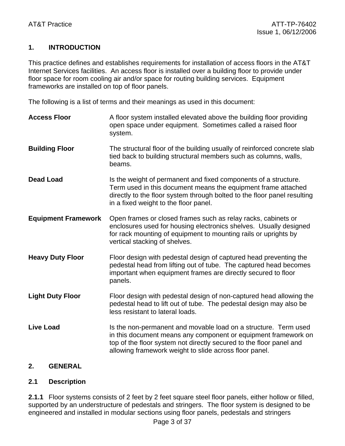#### **1. INTRODUCTION**

This practice defines and establishes requirements for installation of access floors in the AT&T Internet Services facilities. An access floor is installed over a building floor to provide under floor space for room cooling air and/or space for routing building services. Equipment frameworks are installed on top of floor panels.

The following is a list of terms and their meanings as used in this document:

**Access Floor** A floor system installed elevated above the building floor providing open space under equipment. Sometimes called a raised floor system. **Building Floor** The structural floor of the building usually of reinforced concrete slab tied back to building structural members such as columns, walls, beams. **Dead Load IS the weight of permanent and fixed components of a structure.** Term used in this document means the equipment frame attached directly to the floor system through bolted to the floor panel resulting in a fixed weight to the floor panel. **Equipment Framework** Open frames or closed frames such as relay racks, cabinets or enclosures used for housing electronics shelves. Usually designed for rack mounting of equipment to mounting rails or uprights by vertical stacking of shelves. **Heavy Duty Floor** Floor design with pedestal design of captured head preventing the pedestal head from lifting out of tube. The captured head becomes important when equipment frames are directly secured to floor panels. **Light Duty Floor** Floor design with pedestal design of non-captured head allowing the pedestal head to lift out of tube. The pedestal design may also be less resistant to lateral loads. **Live Load** Is the non-permanent and movable load on a structure. Term used in this document means any component or equipment framework on top of the floor system not directly secured to the floor panel and allowing framework weight to slide across floor panel.

#### **2. GENERAL**

#### **2.1 Description**

**2.1.1** Floor systems consists of 2 feet by 2 feet square steel floor panels, either hollow or filled, supported by an understructure of pedestals and stringers. The floor system is designed to be engineered and installed in modular sections using floor panels, pedestals and stringers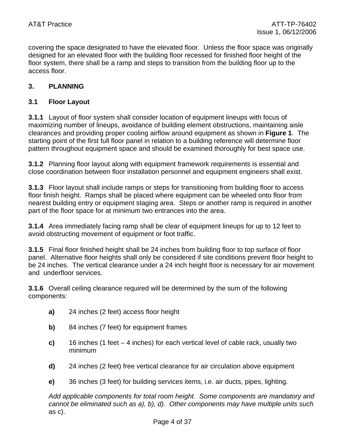covering the space designated to have the elevated floor. Unless the floor space was originally designed for an elevated floor with the building floor recessed for finished floor height of the floor system, there shall be a ramp and steps to transition from the building floor up to the access floor.

#### **3. PLANNING**

#### **3.1 Floor Layout**

**3.1.1** Layout of floor system shall consider location of equipment lineups with focus of maximizing number of lineups, avoidance of building element obstructions, maintaining aisle clearances and providing proper cooling airflow around equipment as shown in **Figure 1**. The starting point of the first full floor panel in relation to a building reference will determine floor pattern throughout equipment space and should be examined thoroughly for best space use.

**3.1.2** Planning floor layout along with equipment framework requirements is essential and close coordination between floor installation personnel and equipment engineers shall exist.

**3.1.3** Floor layout shall include ramps or steps for transitioning from building floor to access floor finish height. Ramps shall be placed where equipment can be wheeled onto floor from nearest building entry or equipment staging area. Steps or another ramp is required in another part of the floor space for at minimum two entrances into the area.

**3.1.4** Area immediately facing ramp shall be clear of equipment lineups for up to 12 feet to avoid obstructing movement of equipment or foot traffic.

**3.1.5** Final floor finished height shall be 24 inches from building floor to top surface of floor panel. Alternative floor heights shall only be considered if site conditions prevent floor height to be 24 inches. The vertical clearance under a 24 inch height floor is necessary for air movement and underfloor services.

**3.1.6** Overall ceiling clearance required will be determined by the sum of the following components:

- **a)** 24 inches (2 feet) access floor height
- **b)** 84 inches (7 feet) for equipment frames
- **c)** 16 inches (1 feet 4 inches) for each vertical level of cable rack, usually two minimum
- **d)** 24 inches (2 feet) free vertical clearance for air circulation above equipment
- **e)** 36 inches (3 feet) for building services items, i.e. air ducts, pipes, lighting.

*Add applicable components for total room height. Some components are mandatory and cannot be eliminated such as a), b), d). Other components may have multiple units such*  as c).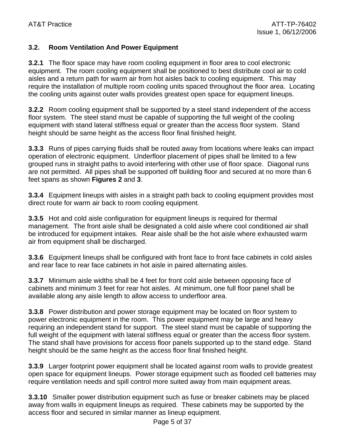#### **3.2. Room Ventilation And Power Equipment**

**3.2.1** The floor space may have room cooling equipment in floor area to cool electronic equipment. The room cooling equipment shall be positioned to best distribute cool air to cold aisles and a return path for warm air from hot aisles back to cooling equipment. This may require the installation of multiple room cooling units spaced throughout the floor area. Locating the cooling units against outer walls provides greatest open space for equipment lineups.

**3.2.2** Room cooling equipment shall be supported by a steel stand independent of the access floor system. The steel stand must be capable of supporting the full weight of the cooling equipment with stand lateral stiffness equal or greater than the access floor system. Stand height should be same height as the access floor final finished height.

**3.3.3** Runs of pipes carrying fluids shall be routed away from locations where leaks can impact operation of electronic equipment. Underfloor placement of pipes shall be limited to a few grouped runs in straight paths to avoid interfering with other use of floor space. Diagonal runs are not permitted. All pipes shall be supported off building floor and secured at no more than 6 feet spans as shown **Figures 2** and **3**.

**3.3.4** Equipment lineups with aisles in a straight path back to cooling equipment provides most direct route for warm air back to room cooling equipment.

**3.3.5** Hot and cold aisle configuration for equipment lineups is required for thermal management. The front aisle shall be designated a cold aisle where cool conditioned air shall be introduced for equipment intakes. Rear aisle shall be the hot aisle where exhausted warm air from equipment shall be discharged.

**3.3.6** Equipment lineups shall be configured with front face to front face cabinets in cold aisles and rear face to rear face cabinets in hot aisle in paired alternating aisles.

**3.3.7** Minimum aisle widths shall be 4 feet for front cold aisle between opposing face of cabinets and minimum 3 feet for rear hot aisles. At minimum, one full floor panel shall be available along any aisle length to allow access to underfloor area.

**3.3.8** Power distribution and power storage equipment may be located on floor system to power electronic equipment in the room. This power equipment may be large and heavy requiring an independent stand for support. The steel stand must be capable of supporting the full weight of the equipment with lateral stiffness equal or greater than the access floor system. The stand shall have provisions for access floor panels supported up to the stand edge. Stand height should be the same height as the access floor final finished height.

**3.3.9** Larger footprint power equipment shall be located against room walls to provide greatest open space for equipment lineups. Power storage equipment such as flooded cell batteries may require ventilation needs and spill control more suited away from main equipment areas.

**3.3.10** Smaller power distribution equipment such as fuse or breaker cabinets may be placed away from walls in equipment lineups as required. These cabinets may be supported by the access floor and secured in similar manner as lineup equipment.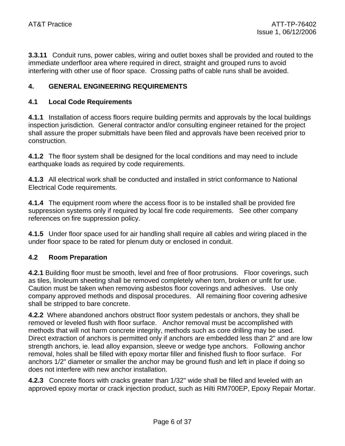**3.3.11** Conduit runs, power cables, wiring and outlet boxes shall be provided and routed to the immediate underfloor area where required in direct, straight and grouped runs to avoid interfering with other use of floor space. Crossing paths of cable runs shall be avoided.

#### **4. GENERAL ENGINEERING REQUIREMENTS**

#### **4.1 Local Code Requirements**

**4.1.1** Installation of access floors require building permits and approvals by the local buildings inspection jurisdiction. General contractor and/or consulting engineer retained for the project shall assure the proper submittals have been filed and approvals have been received prior to construction.

**4.1.2** The floor system shall be designed for the local conditions and may need to include earthquake loads as required by code requirements.

**4.1.3** All electrical work shall be conducted and installed in strict conformance to National Electrical Code requirements.

**4.1.4** The equipment room where the access floor is to be installed shall be provided fire suppression systems only if required by local fire code requirements. See other company references on fire suppression policy.

**4.1.5** Under floor space used for air handling shall require all cables and wiring placed in the under floor space to be rated for plenum duty or enclosed in conduit.

#### **4.2 Room Preparation**

**4.2.1** Building floor must be smooth, level and free of floor protrusions. Floor coverings, such as tiles, linoleum sheeting shall be removed completely when torn, broken or unfit for use. Caution must be taken when removing asbestos floor coverings and adhesives. Use only company approved methods and disposal procedures. All remaining floor covering adhesive shall be stripped to bare concrete.

**4.2.2** Where abandoned anchors obstruct floor system pedestals or anchors, they shall be removed or leveled flush with floor surface. Anchor removal must be accomplished with methods that will not harm concrete integrity, methods such as core drilling may be used. Direct extraction of anchors is permitted only if anchors are embedded less than 2" and are low strength anchors, ie. lead alloy expansion, sleeve or wedge type anchors. Following anchor removal, holes shall be filled with epoxy mortar filler and finished flush to floor surface. For anchors 1/2" diameter or smaller the anchor may be ground flush and left in place if doing so does not interfere with new anchor installation.

**4.2.3** Concrete floors with cracks greater than 1/32" wide shall be filled and leveled with an approved epoxy mortar or crack injection product, such as Hilti RM700EP, Epoxy Repair Mortar.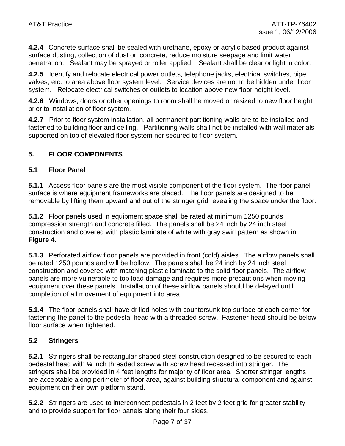**4.2.4** Concrete surface shall be sealed with urethane, epoxy or acrylic based product against surface dusting, collection of dust on concrete, reduce moisture seepage and limit water penetration. Sealant may be sprayed or roller applied. Sealant shall be clear or light in color.

**4.2.5** Identify and relocate electrical power outlets, telephone jacks, electrical switches, pipe valves, etc. to area above floor system level. Service devices are not to be hidden under floor system. Relocate electrical switches or outlets to location above new floor height level.

**4.2.6** Windows, doors or other openings to room shall be moved or resized to new floor height prior to installation of floor system.

**4.2.7** Prior to floor system installation, all permanent partitioning walls are to be installed and fastened to building floor and ceiling. Partitioning walls shall not be installed with wall materials supported on top of elevated floor system nor secured to floor system.

#### **5. FLOOR COMPONENTS**

#### **5.1 Floor Panel**

**5.1.1** Access floor panels are the most visible component of the floor system. The floor panel surface is where equipment frameworks are placed. The floor panels are designed to be removable by lifting them upward and out of the stringer grid revealing the space under the floor.

**5.1.2** Floor panels used in equipment space shall be rated at minimum 1250 pounds compression strength and concrete filled. The panels shall be 24 inch by 24 inch steel construction and covered with plastic laminate of white with gray swirl pattern as shown in **Figure 4**.

**5.1.3** Perforated airflow floor panels are provided in front (cold) aisles. The airflow panels shall be rated 1250 pounds and will be hollow. The panels shall be 24 inch by 24 inch steel construction and covered with matching plastic laminate to the solid floor panels. The airflow panels are more vulnerable to top load damage and requires more precautions when moving equipment over these panels. Installation of these airflow panels should be delayed until completion of all movement of equipment into area.

**5.1.4** The floor panels shall have drilled holes with countersunk top surface at each corner for fastening the panel to the pedestal head with a threaded screw. Fastener head should be below floor surface when tightened.

#### **5.2 Stringers**

**5.2.1** Stringers shall be rectangular shaped steel construction designed to be secured to each pedestal head with ¼ inch threaded screw with screw head recessed into stringer. The stringers shall be provided in 4 feet lengths for majority of floor area. Shorter stringer lengths are acceptable along perimeter of floor area, against building structural component and against equipment on their own platform stand.

**5.2.2** Stringers are used to interconnect pedestals in 2 feet by 2 feet grid for greater stability and to provide support for floor panels along their four sides.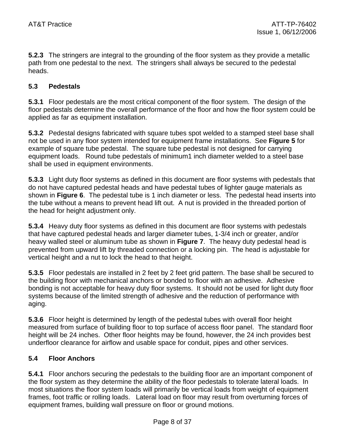**5.2.3** The stringers are integral to the grounding of the floor system as they provide a metallic path from one pedestal to the next. The stringers shall always be secured to the pedestal heads.

#### **5.3 Pedestals**

**5.3.1** Floor pedestals are the most critical component of the floor system. The design of the floor pedestals determine the overall performance of the floor and how the floor system could be applied as far as equipment installation.

**5.3.2** Pedestal designs fabricated with square tubes spot welded to a stamped steel base shall not be used in any floor system intended for equipment frame installations. See **Figure 5** for example of square tube pedestal. The square tube pedestal is not designed for carrying equipment loads. Round tube pedestals of minimum1 inch diameter welded to a steel base shall be used in equipment environments.

**5.3.3** Light duty floor systems as defined in this document are floor systems with pedestals that do not have captured pedestal heads and have pedestal tubes of lighter gauge materials as shown in **Figure 6**. The pedestal tube is 1 inch diameter or less. The pedestal head inserts into the tube without a means to prevent head lift out. A nut is provided in the threaded portion of the head for height adjustment only.

**5.3.4** Heavy duty floor systems as defined in this document are floor systems with pedestals that have captured pedestal heads and larger diameter tubes, 1-3/4 inch or greater, and/or heavy walled steel or aluminum tube as shown in **Figure 7**. The heavy duty pedestal head is prevented from upward lift by threaded connection or a locking pin. The head is adjustable for vertical height and a nut to lock the head to that height.

**5.3.5** Floor pedestals are installed in 2 feet by 2 feet grid pattern. The base shall be secured to the building floor with mechanical anchors or bonded to floor with an adhesive. Adhesive bonding is not acceptable for heavy duty floor systems. It should not be used for light duty floor systems because of the limited strength of adhesive and the reduction of performance with aging.

**5.3.6** Floor height is determined by length of the pedestal tubes with overall floor height measured from surface of building floor to top surface of access floor panel. The standard floor height will be 24 inches. Other floor heights may be found, however, the 24 inch provides best underfloor clearance for airflow and usable space for conduit, pipes and other services.

#### **5.4 Floor Anchors**

**5.4.1** Floor anchors securing the pedestals to the building floor are an important component of the floor system as they determine the ability of the floor pedestals to tolerate lateral loads. In most situations the floor system loads will primarily be vertical loads from weight of equipment frames, foot traffic or rolling loads. Lateral load on floor may result from overturning forces of equipment frames, building wall pressure on floor or ground motions.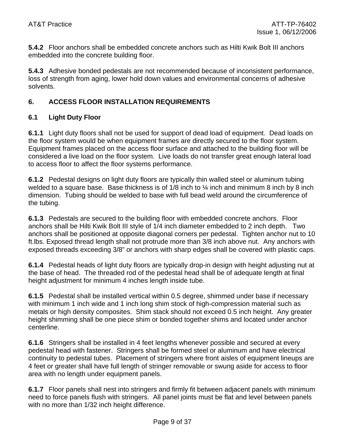**5.4.2** Floor anchors shall be embedded concrete anchors such as Hilti Kwik Bolt III anchors embedded into the concrete building floor.

**5.4.3** Adhesive bonded pedestals are not recommended because of inconsistent performance, loss of strength from aging, lower hold down values and environmental concerns of adhesive solvents.

#### **6. ACCESS FLOOR INSTALLATION REQUIREMENTS**

#### **6.1 Light Duty Floor**

**6.1.1** Light duty floors shall not be used for support of dead load of equipment. Dead loads on the floor system would be when equipment frames are directly secured to the floor system. Equipment frames placed on the access floor surface and attached to the building floor will be considered a live load on the floor system. Live loads do not transfer great enough lateral load to access floor to affect the floor systems performance.

**6.1.2** Pedestal designs on light duty floors are typically thin walled steel or aluminum tubing welded to a square base. Base thickness is of  $1/8$  inch to  $\frac{1}{4}$  inch and minimum 8 inch by 8 inch dimension. Tubing should be welded to base with full bead weld around the circumference of the tubing.

**6.1.3** Pedestals are secured to the building floor with embedded concrete anchors. Floor anchors shall be Hilti Kwik Bolt III style of 1/4 inch diameter embedded to 2 inch depth. Two anchors shall be positioned at opposite diagonal corners per pedestal. Tighten anchor nut to 10 ft.lbs. Exposed thread length shall not protrude more than 3/8 inch above nut. Any anchors with exposed threads exceeding 3/8" or anchors with sharp edges shall be covered with plastic caps.

**6.1.4** Pedestal heads of light duty floors are typically drop-in design with height adjusting nut at the base of head. The threaded rod of the pedestal head shall be of adequate length at final height adjustment for minimum 4 inches length inside tube.

**6.1.5** Pedestal shall be installed vertical within 0.5 degree, shimmed under base if necessary with minimum 1 inch wide and 1 inch long shim stock of high-compression material such as metals or high density composites. Shim stack should not exceed 0.5 inch height. Any greater height shimming shall be one piece shim or bonded together shims and located under anchor centerline.

**6.1.6** Stringers shall be installed in 4 feet lengths whenever possible and secured at every pedestal head with fastener. Stringers shall be formed steel or aluminum and have electrical continuity to pedestal tubes. Placement of stringers where front aisles of equipment lineups are 4 feet or greater shall have full length of stringer removable or swung aside for access to floor area with no length under equipment panels.

**6.1.7** Floor panels shall nest into stringers and firmly fit between adjacent panels with minimum need to force panels flush with stringers. All panel joints must be flat and level between panels with no more than 1/32 inch height difference.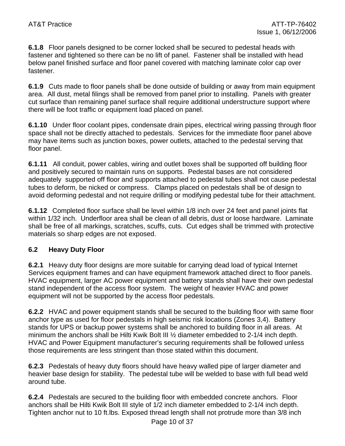**6.1.8** Floor panels designed to be corner locked shall be secured to pedestal heads with fastener and tightened so there can be no lift of panel. Fastener shall be installed with head below panel finished surface and floor panel covered with matching laminate color cap over fastener.

**6.1.9** Cuts made to floor panels shall be done outside of building or away from main equipment area. All dust, metal filings shall be removed from panel prior to installing. Panels with greater cut surface than remaining panel surface shall require additional understructure support where there will be foot traffic or equipment load placed on panel.

**6.1.10** Under floor coolant pipes, condensate drain pipes, electrical wiring passing through floor space shall not be directly attached to pedestals. Services for the immediate floor panel above may have items such as junction boxes, power outlets, attached to the pedestal serving that floor panel.

**6.1.11** All conduit, power cables, wiring and outlet boxes shall be supported off building floor and positively secured to maintain runs on supports. Pedestal bases are not considered adequately supported off floor and supports attached to pedestal tubes shall not cause pedestal tubes to deform, be nicked or compress. Clamps placed on pedestals shall be of design to avoid deforming pedestal and not require drilling or modifying pedestal tube for their attachment.

**6.1.12** Completed floor surface shall be level within 1/8 inch over 24 feet and panel joints flat within 1/32 inch. Underfloor area shall be clean of all debris, dust or loose hardware. Laminate shall be free of all markings, scratches, scuffs, cuts. Cut edges shall be trimmed with protective materials so sharp edges are not exposed.

#### **6.2 Heavy Duty Floor**

**6.2.1** Heavy duty floor designs are more suitable for carrying dead load of typical Internet Services equipment frames and can have equipment framework attached direct to floor panels. HVAC equipment, larger AC power equipment and battery stands shall have their own pedestal stand independent of the access floor system. The weight of heavier HVAC and power equipment will not be supported by the access floor pedestals.

**6.2.2** HVAC and power equipment stands shall be secured to the building floor with same floor anchor type as used for floor pedestals in high seismic risk locations (Zones 3,4). Battery stands for UPS or backup power systems shall be anchored to building floor in all areas. At minimum the anchors shall be Hilti Kwik Bolt III ½ diameter embedded to 2-1/4 inch depth. HVAC and Power Equipment manufacturer's securing requirements shall be followed unless those requirements are less stringent than those stated within this document.

**6.2.3** Pedestals of heavy duty floors should have heavy walled pipe of larger diameter and heavier base design for stability. The pedestal tube will be welded to base with full bead weld around tube.

**6.2.4** Pedestals are secured to the building floor with embedded concrete anchors. Floor anchors shall be Hilti Kwik Bolt III style of 1/2 inch diameter embedded to 2-1/4 inch depth. Tighten anchor nut to 10 ft.lbs. Exposed thread length shall not protrude more than 3/8 inch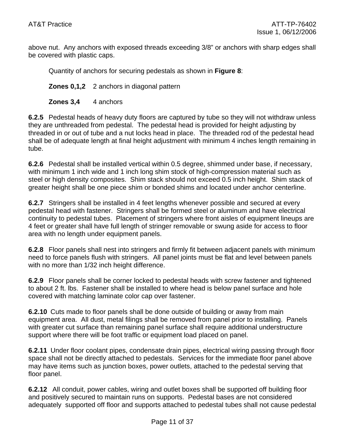above nut. Any anchors with exposed threads exceeding 3/8" or anchors with sharp edges shall be covered with plastic caps.

Quantity of anchors for securing pedestals as shown in **Figure 8**:

**Zones 0,1,2** 2 anchors in diagonal pattern

**Zones 3,4** 4 anchors

**6.2.5** Pedestal heads of heavy duty floors are captured by tube so they will not withdraw unless they are unthreaded from pedestal. The pedestal head is provided for height adjusting by threaded in or out of tube and a nut locks head in place. The threaded rod of the pedestal head shall be of adequate length at final height adjustment with minimum 4 inches length remaining in tube.

**6.2.6** Pedestal shall be installed vertical within 0.5 degree, shimmed under base, if necessary, with minimum 1 inch wide and 1 inch long shim stock of high-compression material such as steel or high density composites. Shim stack should not exceed 0.5 inch height. Shim stack of greater height shall be one piece shim or bonded shims and located under anchor centerline.

**6.2.7** Stringers shall be installed in 4 feet lengths whenever possible and secured at every pedestal head with fastener. Stringers shall be formed steel or aluminum and have electrical continuity to pedestal tubes. Placement of stringers where front aisles of equipment lineups are 4 feet or greater shall have full length of stringer removable or swung aside for access to floor area with no length under equipment panels.

**6.2.8** Floor panels shall nest into stringers and firmly fit between adjacent panels with minimum need to force panels flush with stringers. All panel joints must be flat and level between panels with no more than  $1/32$  inch height difference.

**6.2.9** Floor panels shall be corner locked to pedestal heads with screw fastener and tightened to about 2 ft. lbs. Fastener shall be installed to where head is below panel surface and hole covered with matching laminate color cap over fastener.

**6.2.10** Cuts made to floor panels shall be done outside of building or away from main equipment area. All dust, metal filings shall be removed from panel prior to installing. Panels with greater cut surface than remaining panel surface shall require additional understructure support where there will be foot traffic or equipment load placed on panel.

**6.2.11** Under floor coolant pipes, condensate drain pipes, electrical wiring passing through floor space shall not be directly attached to pedestals. Services for the immediate floor panel above may have items such as junction boxes, power outlets, attached to the pedestal serving that floor panel.

**6.2.12** All conduit, power cables, wiring and outlet boxes shall be supported off building floor and positively secured to maintain runs on supports. Pedestal bases are not considered adequately supported off floor and supports attached to pedestal tubes shall not cause pedestal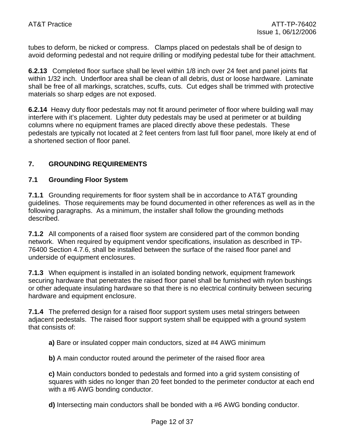tubes to deform, be nicked or compress. Clamps placed on pedestals shall be of design to avoid deforming pedestal and not require drilling or modifying pedestal tube for their attachment.

**6.2.13** Completed floor surface shall be level within 1/8 inch over 24 feet and panel joints flat within 1/32 inch. Underfloor area shall be clean of all debris, dust or loose hardware. Laminate shall be free of all markings, scratches, scuffs, cuts. Cut edges shall be trimmed with protective materials so sharp edges are not exposed.

**6.2.14** Heavy duty floor pedestals may not fit around perimeter of floor where building wall may interfere with it's placement. Lighter duty pedestals may be used at perimeter or at building columns where no equipment frames are placed directly above these pedestals. These pedestals are typically not located at 2 feet centers from last full floor panel, more likely at end of a shortened section of floor panel.

#### **7. GROUNDING REQUIREMENTS**

#### **7.1 Grounding Floor System**

**7.1.1** Grounding requirements for floor system shall be in accordance to AT&T grounding guidelines. Those requirements may be found documented in other references as well as in the following paragraphs. As a minimum, the installer shall follow the grounding methods described.

**7.1.2** All components of a raised floor system are considered part of the common bonding network. When required by equipment vendor specifications, insulation as described in TP-76400 Section 4.7.6, shall be installed between the surface of the raised floor panel and underside of equipment enclosures.

**7.1.3** When equipment is installed in an isolated bonding network, equipment framework securing hardware that penetrates the raised floor panel shall be furnished with nylon bushings or other adequate insulating hardware so that there is no electrical continuity between securing hardware and equipment enclosure.

**7.1.4** The preferred design for a raised floor support system uses metal stringers between adjacent pedestals. The raised floor support system shall be equipped with a ground system that consists of:

**a)** Bare or insulated copper main conductors, sized at #4 AWG minimum

**b)** A main conductor routed around the perimeter of the raised floor area

**c)** Main conductors bonded to pedestals and formed into a grid system consisting of squares with sides no longer than 20 feet bonded to the perimeter conductor at each end with a #6 AWG bonding conductor.

**d)** Intersecting main conductors shall be bonded with a #6 AWG bonding conductor.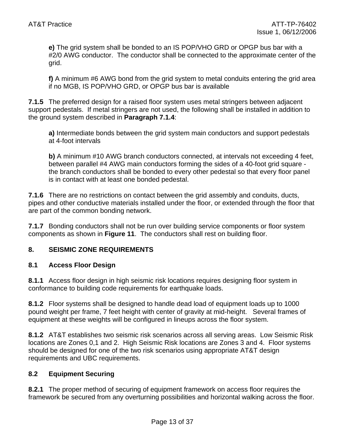**e)** The grid system shall be bonded to an IS POP/VHO GRD or OPGP bus bar with a #2/0 AWG conductor. The conductor shall be connected to the approximate center of the grid.

**f)** A minimum #6 AWG bond from the grid system to metal conduits entering the grid area if no MGB, IS POP/VHO GRD, or OPGP bus bar is available

**7.1.5** The preferred design for a raised floor system uses metal stringers between adjacent support pedestals. If metal stringers are not used, the following shall be installed in addition to the ground system described in **Paragraph 7.1.4**:

**a)** Intermediate bonds between the grid system main conductors and support pedestals at 4-foot intervals

**b**) A minimum #10 AWG branch conductors connected, at intervals not exceeding 4 feet, between parallel #4 AWG main conductors forming the sides of a 40-foot grid square the branch conductors shall be bonded to every other pedestal so that every floor panel is in contact with at least one bonded pedestal.

**7.1.6** There are no restrictions on contact between the grid assembly and conduits, ducts, pipes and other conductive materials installed under the floor, or extended through the floor that are part of the common bonding network.

**7.1.7** Bonding conductors shall not be run over building service components or floor system components as shown in **Figure 11**. The conductors shall rest on building floor.

#### **8. SEISMIC ZONE REQUIREMENTS**

#### **8.1 Access Floor Design**

**8.1.1** Access floor design in high seismic risk locations requires designing floor system in conformance to building code requirements for earthquake loads.

**8.1.2** Floor systems shall be designed to handle dead load of equipment loads up to 1000 pound weight per frame, 7 feet height with center of gravity at mid-height. Several frames of equipment at these weights will be configured in lineups across the floor system.

**8.1.2** AT&T establishes two seismic risk scenarios across all serving areas. Low Seismic Risk locations are Zones 0,1 and 2. High Seismic Risk locations are Zones 3 and 4. Floor systems should be designed for one of the two risk scenarios using appropriate AT&T design requirements and UBC requirements.

#### **8.2 Equipment Securing**

**8.2.1** The proper method of securing of equipment framework on access floor requires the framework be secured from any overturning possibilities and horizontal walking across the floor.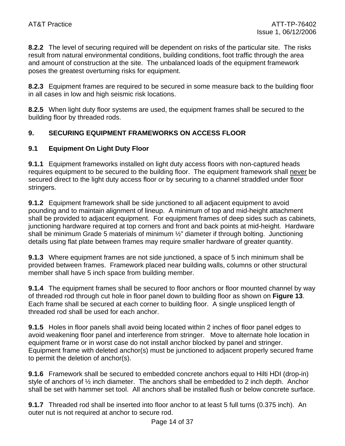**8.2.2** The level of securing required will be dependent on risks of the particular site. The risks result from natural environmental conditions, building conditions, foot traffic through the area and amount of construction at the site. The unbalanced loads of the equipment framework poses the greatest overturning risks for equipment.

**8.2.3** Equipment frames are required to be secured in some measure back to the building floor in all cases in low and high seismic risk locations.

**8.2.5** When light duty floor systems are used, the equipment frames shall be secured to the building floor by threaded rods.

#### **9. SECURING EQUIPMENT FRAMEWORKS ON ACCESS FLOOR**

#### **9.1 Equipment On Light Duty Floor**

**9.1.1** Equipment frameworks installed on light duty access floors with non-captured heads requires equipment to be secured to the building floor. The equipment framework shall never be secured direct to the light duty access floor or by securing to a channel straddled under floor stringers.

**9.1.2** Equipment framework shall be side junctioned to all adjacent equipment to avoid pounding and to maintain alignment of lineup. A minimum of top and mid-height attachment shall be provided to adjacent equipment. For equipment frames of deep sides such as cabinets, junctioning hardware required at top corners and front and back points at mid-height. Hardware shall be minimum Grade 5 materials of minimum ½" diameter if through bolting. Junctioning details using flat plate between frames may require smaller hardware of greater quantity.

**9.1.3** Where equipment frames are not side junctioned, a space of 5 inch minimum shall be provided between frames. Framework placed near building walls, columns or other structural member shall have 5 inch space from building member.

**9.1.4** The equipment frames shall be secured to floor anchors or floor mounted channel by way of threaded rod through cut hole in floor panel down to building floor as shown on **Figure 13**. Each frame shall be secured at each corner to building floor. A single unspliced length of threaded rod shall be used for each anchor.

**9.1.5** Holes in floor panels shall avoid being located within 2 inches of floor panel edges to avoid weakening floor panel and interference from stringer. Move to alternate hole location in equipment frame or in worst case do not install anchor blocked by panel and stringer. Equipment frame with deleted anchor(s) must be junctioned to adjacent properly secured frame to permit the deletion of anchor(s).

**9.1.6** Framework shall be secured to embedded concrete anchors equal to Hilti HDI (drop-in) style of anchors of ½ inch diameter. The anchors shall be embedded to 2 inch depth. Anchor shall be set with hammer set tool. All anchors shall be installed flush or below concrete surface.

**9.1.7** Threaded rod shall be inserted into floor anchor to at least 5 full turns (0.375 inch). An outer nut is not required at anchor to secure rod.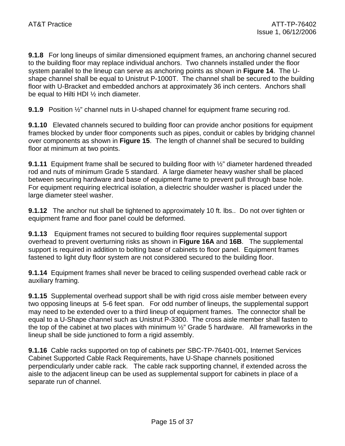**9.1.8** For long lineups of similar dimensioned equipment frames, an anchoring channel secured to the building floor may replace individual anchors. Two channels installed under the floor system parallel to the lineup can serve as anchoring points as shown in **Figure 14**. The Ushape channel shall be equal to Unistrut P-1000T. The channel shall be secured to the building floor with U-Bracket and embedded anchors at approximately 36 inch centers. Anchors shall be equal to Hilti HDI ½ inch diameter.

**9.1.9** Position ½" channel nuts in U-shaped channel for equipment frame securing rod.

**9.1.10** Elevated channels secured to building floor can provide anchor positions for equipment frames blocked by under floor components such as pipes, conduit or cables by bridging channel over components as shown in **Figure 15**. The length of channel shall be secured to building floor at minimum at two points.

**9.1.11** Equipment frame shall be secured to building floor with  $\frac{1}{2}$ " diameter hardened threaded rod and nuts of minimum Grade 5 standard. A large diameter heavy washer shall be placed between securing hardware and base of equipment frame to prevent pull through base hole. For equipment requiring electrical isolation, a dielectric shoulder washer is placed under the large diameter steel washer.

**9.1.12** The anchor nut shall be tightened to approximately 10 ft. lbs.. Do not over tighten or equipment frame and floor panel could be deformed.

**9.1.13** Equipment frames not secured to building floor requires supplemental support overhead to prevent overturning risks as shown in **Figure 16A** and **16B**. The supplemental support is required in addition to bolting base of cabinets to floor panel. Equipment frames fastened to light duty floor system are not considered secured to the building floor.

**9.1.14** Equipment frames shall never be braced to ceiling suspended overhead cable rack or auxiliary framing.

**9.1.15** Supplemental overhead support shall be with rigid cross aisle member between every two opposing lineups at 5-6 feet span. For odd number of lineups, the supplemental support may need to be extended over to a third lineup of equipment frames. The connector shall be equal to a U-Shape channel such as Unistrut P-3300. The cross aisle member shall fasten to the top of the cabinet at two places with minimum ½" Grade 5 hardware. All frameworks in the lineup shall be side junctioned to form a rigid assembly.

**9.1.16** Cable racks supported on top of cabinets per SBC-TP-76401-001, Internet Services Cabinet Supported Cable Rack Requirements, have U-Shape channels positioned perpendicularly under cable rack. The cable rack supporting channel, if extended across the aisle to the adjacent lineup can be used as supplemental support for cabinets in place of a separate run of channel.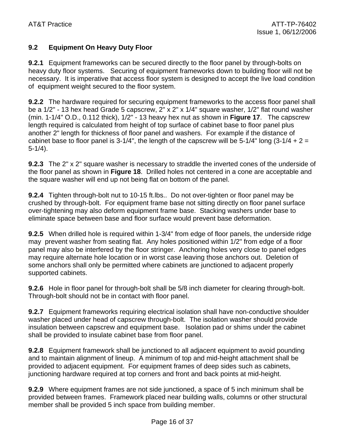#### **9.2 Equipment On Heavy Duty Floor**

**9.2.1** Equipment frameworks can be secured directly to the floor panel by through-bolts on heavy duty floor systems. Securing of equipment frameworks down to building floor will not be necessary. It is imperative that access floor system is designed to accept the live load condition of equipment weight secured to the floor system.

**9.2.2** The hardware required for securing equipment frameworks to the access floor panel shall be a 1/2" - 13 hex head Grade 5 capscrew, 2" x 2" x 1/4" square washer, 1/2" flat round washer (min. 1-1/4" O.D., 0.112 thick), 1/2" - 13 heavy hex nut as shown in **Figure 17**. The capscrew length required is calculated from height of top surface of cabinet base to floor panel plus another 2" length for thickness of floor panel and washers. For example if the distance of cabinet base to floor panel is 3-1/4", the length of the capscrew will be 5-1/4" long  $(3-1/4 + 2 =$ 5-1/4).

**9.2.3** The 2" x 2" square washer is necessary to straddle the inverted cones of the underside of the floor panel as shown in **Figure 18**. Drilled holes not centered in a cone are acceptable and the square washer will end up not being flat on bottom of the panel.

**9.2.4** Tighten through-bolt nut to 10-15 ft.lbs.. Do not over-tighten or floor panel may be crushed by through-bolt. For equipment frame base not sitting directly on floor panel surface over-tightening may also deform equipment frame base. Stacking washers under base to eliminate space between base and floor surface would prevent base deformation.

**9.2.5** When drilled hole is required within 1-3/4" from edge of floor panels, the underside ridge may prevent washer from seating flat. Any holes positioned within 1/2" from edge of a floor panel may also be interfered by the floor stringer. Anchoring holes very close to panel edges may require alternate hole location or in worst case leaving those anchors out. Deletion of some anchors shall only be permitted where cabinets are junctioned to adjacent properly supported cabinets.

**9.2.6** Hole in floor panel for through-bolt shall be 5/8 inch diameter for clearing through-bolt. Through-bolt should not be in contact with floor panel.

**9.2.7** Equipment frameworks requiring electrical isolation shall have non-conductive shoulder washer placed under head of capscrew through-bolt. The isolation washer should provide insulation between capscrew and equipment base. Isolation pad or shims under the cabinet shall be provided to insulate cabinet base from floor panel.

**9.2.8** Equipment framework shall be junctioned to all adjacent equipment to avoid pounding and to maintain alignment of lineup. A minimum of top and mid-height attachment shall be provided to adjacent equipment. For equipment frames of deep sides such as cabinets, junctioning hardware required at top corners and front and back points at mid-height.

**9.2.9** Where equipment frames are not side junctioned, a space of 5 inch minimum shall be provided between frames. Framework placed near building walls, columns or other structural member shall be provided 5 inch space from building member.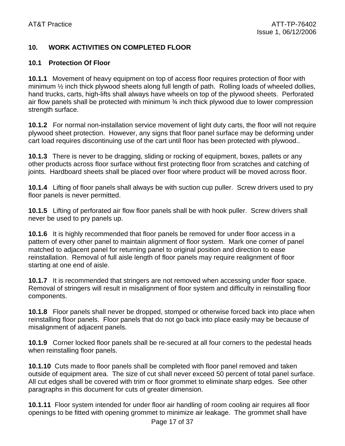#### **10. WORK ACTIVITIES ON COMPLETED FLOOR**

#### **10.1 Protection Of Floor**

**10.1.1** Movement of heavy equipment on top of access floor requires protection of floor with minimum  $\frac{1}{2}$  inch thick plywood sheets along full length of path. Rolling loads of wheeled dollies, hand trucks, carts, high-lifts shall always have wheels on top of the plywood sheets. Perforated air flow panels shall be protected with minimum  $\frac{3}{4}$  inch thick plywood due to lower compression strength surface.

**10.1.2** For normal non-installation service movement of light duty carts, the floor will not require plywood sheet protection. However, any signs that floor panel surface may be deforming under cart load requires discontinuing use of the cart until floor has been protected with plywood..

**10.1.3** There is never to be dragging, sliding or rocking of equipment, boxes, pallets or any other products across floor surface without first protecting floor from scratches and catching of joints. Hardboard sheets shall be placed over floor where product will be moved across floor.

**10.1.4** Lifting of floor panels shall always be with suction cup puller. Screw drivers used to pry floor panels is never permitted.

**10.1.5** Lifting of perforated air flow floor panels shall be with hook puller. Screw drivers shall never be used to pry panels up.

**10.1.6** It is highly recommended that floor panels be removed for under floor access in a pattern of every other panel to maintain alignment of floor system. Mark one corner of panel matched to adjacent panel for returning panel to original position and direction to ease reinstallation. Removal of full aisle length of floor panels may require realignment of floor starting at one end of aisle.

**10.1.7** It is recommended that stringers are not removed when accessing under floor space. Removal of stringers will result in misalignment of floor system and difficulty in reinstalling floor components.

**10.1.8** Floor panels shall never be dropped, stomped or otherwise forced back into place when reinstalling floor panels. Floor panels that do not go back into place easily may be because of misalignment of adjacent panels.

**10.1.9** Corner locked floor panels shall be re-secured at all four corners to the pedestal heads when reinstalling floor panels.

**10.1.10** Cuts made to floor panels shall be completed with floor panel removed and taken outside of equipment area. The size of cut shall never exceed 50 percent of total panel surface. All cut edges shall be covered with trim or floor grommet to eliminate sharp edges. See other paragraphs in this document for cuts of greater dimension.

**10.1.11** Floor system intended for under floor air handling of room cooling air requires all floor openings to be fitted with opening grommet to minimize air leakage. The grommet shall have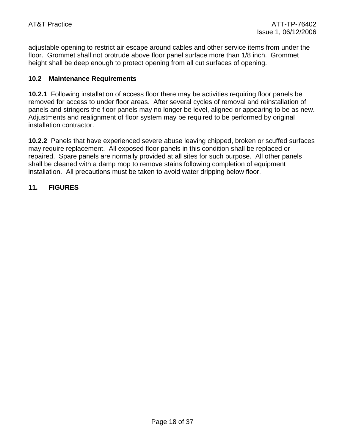adjustable opening to restrict air escape around cables and other service items from under the floor. Grommet shall not protrude above floor panel surface more than 1/8 inch. Grommet height shall be deep enough to protect opening from all cut surfaces of opening.

#### **10.2 Maintenance Requirements**

**10.2.1** Following installation of access floor there may be activities requiring floor panels be removed for access to under floor areas. After several cycles of removal and reinstallation of panels and stringers the floor panels may no longer be level, aligned or appearing to be as new. Adjustments and realignment of floor system may be required to be performed by original installation contractor.

**10.2.2** Panels that have experienced severe abuse leaving chipped, broken or scuffed surfaces may require replacement. All exposed floor panels in this condition shall be replaced or repaired. Spare panels are normally provided at all sites for such purpose. All other panels shall be cleaned with a damp mop to remove stains following completion of equipment installation. All precautions must be taken to avoid water dripping below floor.

#### **11. FIGURES**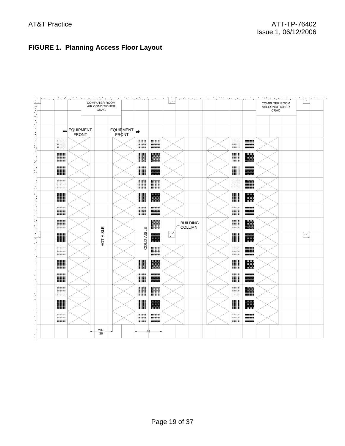### **FIGURE 1. Planning Access Floor Layout**

| an an S<br>€ | ನಿಧನಗಳು |                                  | <b>COMPUTER ROOM</b><br>AIR CONDITIONER<br>CRAC |                           |            |                                  | s para agus a companyes da compañadore s |  | <u> 1950 verskappen</u><br><b>COMPUTER ROOM</b><br>AIR CONDITIONER<br>CRAC | ъ,<br>₩, |
|--------------|---------|----------------------------------|-------------------------------------------------|---------------------------|------------|----------------------------------|------------------------------------------|--|----------------------------------------------------------------------------|----------|
|              | ٠       | <b>EQUIPMENT</b><br><b>FRONT</b> |                                                 | EQUIPMENT<br><b>FRONT</b> |            |                                  |                                          |  |                                                                            |          |
|              |         |                                  |                                                 |                           |            |                                  |                                          |  |                                                                            |          |
|              |         |                                  |                                                 |                           |            |                                  |                                          |  |                                                                            |          |
|              |         |                                  |                                                 |                           |            |                                  |                                          |  |                                                                            |          |
|              |         |                                  |                                                 |                           |            |                                  |                                          |  |                                                                            |          |
|              |         |                                  |                                                 |                           |            |                                  |                                          |  |                                                                            |          |
|              |         |                                  |                                                 |                           |            |                                  |                                          |  |                                                                            |          |
|              |         |                                  |                                                 |                           |            | <b>BUILDING</b><br><b>COLUMN</b> |                                          |  |                                                                            |          |
|              |         |                                  | HOT AISLE                                       |                           | COLD AISLE | Ÿ,                               |                                          |  |                                                                            | I.       |
|              |         |                                  |                                                 |                           |            |                                  |                                          |  |                                                                            |          |
|              |         |                                  |                                                 |                           |            |                                  |                                          |  |                                                                            |          |
|              |         |                                  |                                                 |                           |            |                                  |                                          |  |                                                                            |          |
|              |         |                                  |                                                 |                           |            |                                  |                                          |  |                                                                            |          |
|              |         |                                  |                                                 |                           |            |                                  |                                          |  |                                                                            |          |
|              |         |                                  |                                                 |                           |            |                                  |                                          |  |                                                                            |          |
|              |         |                                  | MIN.<br>36                                      |                           |            |                                  |                                          |  |                                                                            |          |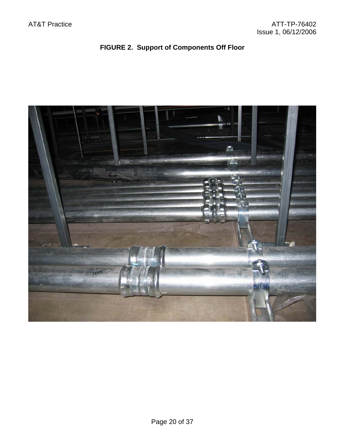### **FIGURE 2. Support of Components Off Floor**

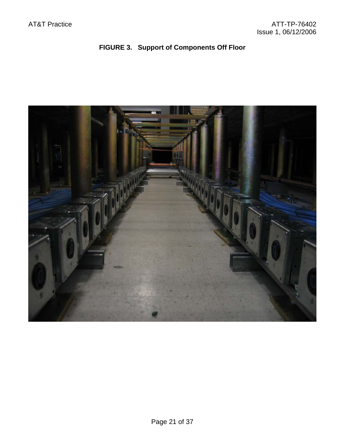### **FIGURE 3. Support of Components Off Floor**

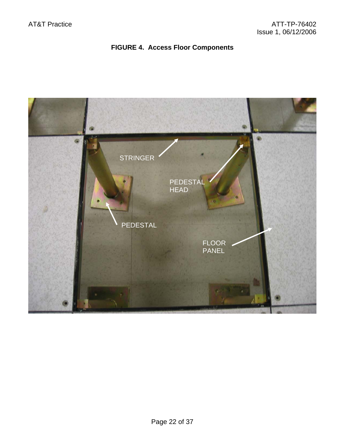### **FIGURE 4. Access Floor Components**

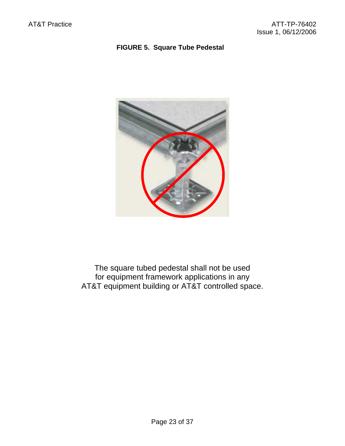#### **FIGURE 5. Square Tube Pedestal**



The square tubed pedestal shall not be used for equipment framework applications in any AT&T equipment building or AT&T controlled space.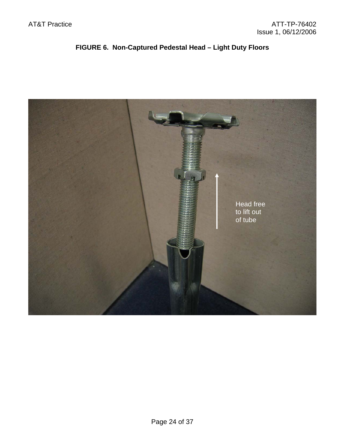### **FIGURE 6. Non-Captured Pedestal Head – Light Duty Floors**

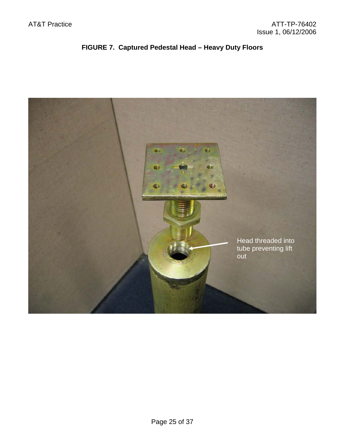### **FIGURE 7. Captured Pedestal Head – Heavy Duty Floors**

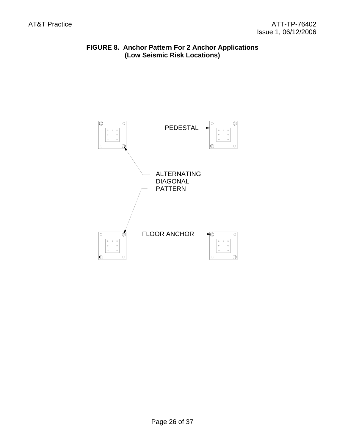#### **FIGURE 8. Anchor Pattern For 2 Anchor Applications (Low Seismic Risk Locations)**

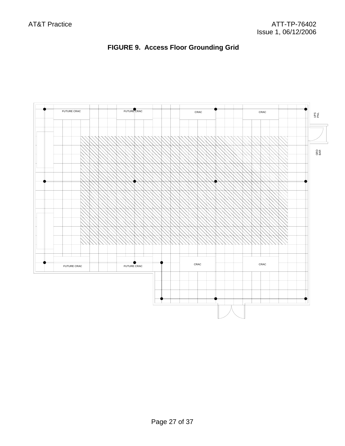

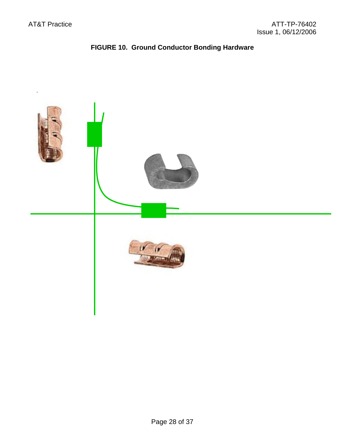## **FIGURE 10. Ground Conductor Bonding Hardware**

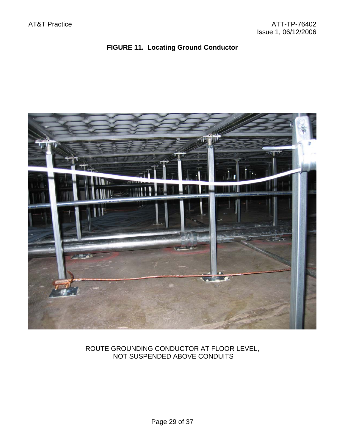### **FIGURE 11. Locating Ground Conductor**



#### ROUTE GROUNDING CONDUCTOR AT FLOOR LEVEL, NOT SUSPENDED ABOVE CONDUITS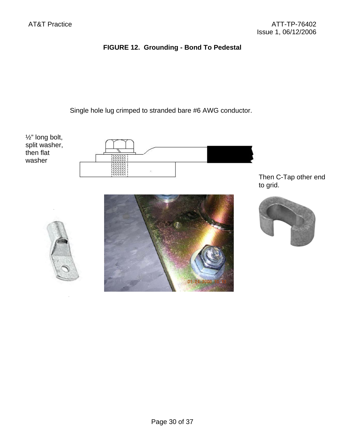### **FIGURE 12. Grounding - Bond To Pedestal**

Single hole lug crimped to stranded bare #6 AWG conductor.



Then C-Tap other end to grid.

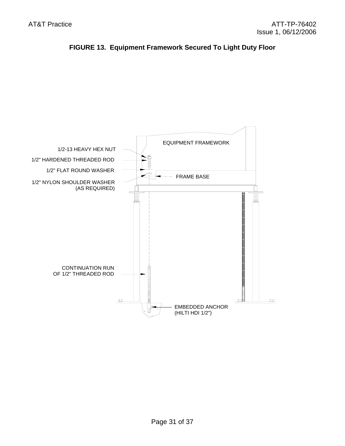

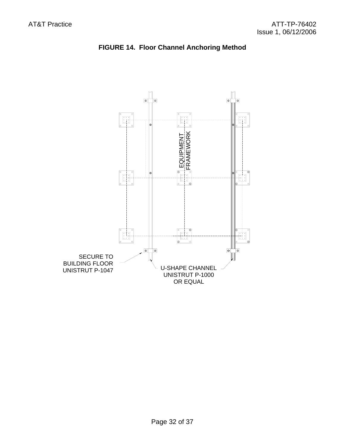

### **FIGURE 14. Floor Channel Anchoring Method**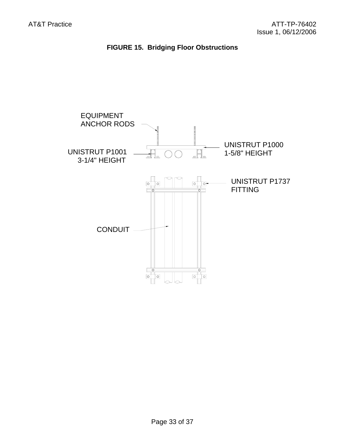

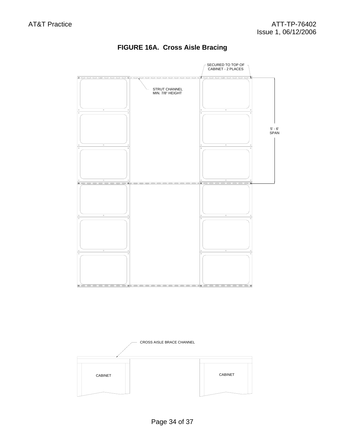

### **FIGURE 16A. Cross Aisle Bracing**

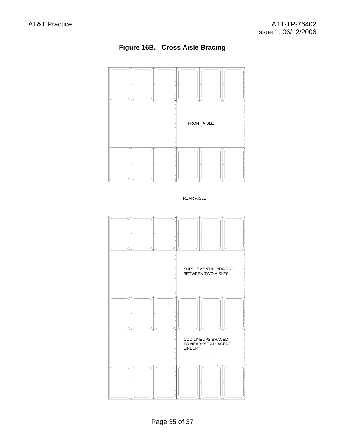



REAR AISLE

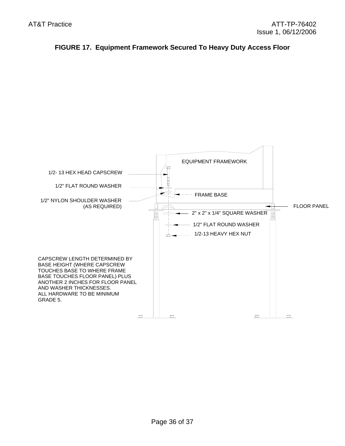